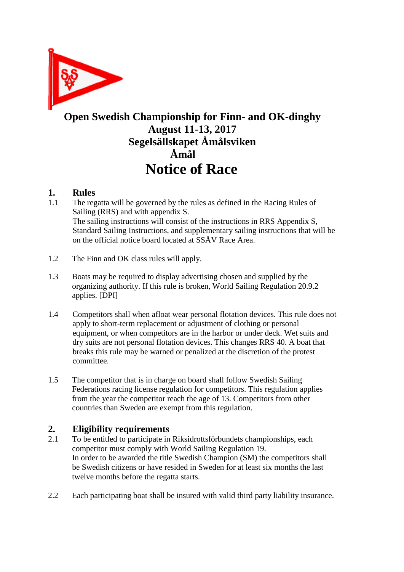

### **Open Swedish Championship for Finn- and OK-dinghy August 11-13, 2017 Segelsällskapet Åmålsviken Åmål Notice of Race**

### **1. Rules**

- 1.1. The regatta will be governed by the rules as defined in the Racing Rules of Sailing (RRS) and with appendix S. The sailing instructions will consist of the instructions in RRS Appendix S, Standard Sailing Instructions, and supplementary sailing instructions that will be on the official notice board located at SSÅV Race Area.
- 1.2 The Finn and OK class rules will apply.
- 1.3 Boats may be required to display advertising chosen and supplied by the organizing authority. If this rule is broken, World Sailing Regulation 20.9.2 applies. [DPI]
- 1.4 Competitors shall when afloat wear personal flotation devices. This rule does not apply to short-term replacement or adjustment of clothing or personal equipment, or when competitors are in the harbor or under deck. Wet suits and dry suits are not personal flotation devices. This changes RRS 40. A boat that breaks this rule may be warned or penalized at the discretion of the protest committee.
- 1.5 The competitor that is in charge on board shall follow Swedish Sailing Federations racing license regulation for competitors. This regulation applies from the year the competitor reach the age of 13. Competitors from other countries than Sweden are exempt from this regulation.

### **2. Eligibility requirements**

- 2.1 To be entitled to participate in Riksidrottsförbundets championships, each competitor must comply with World Sailing Regulation 19. In order to be awarded the title Swedish Champion (SM) the competitors shall be Swedish citizens or have resided in Sweden for at least six months the last twelve months before the regatta starts.
- 2.2 Each participating boat shall be insured with valid third party liability insurance.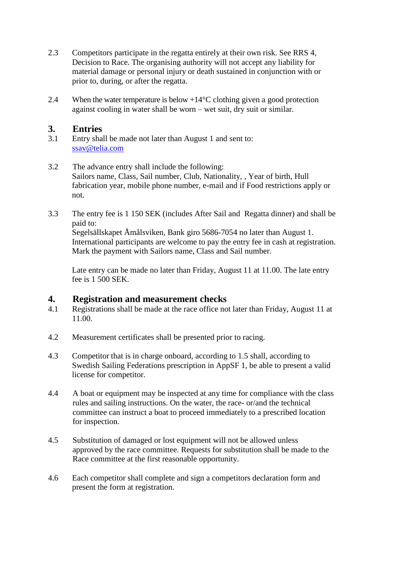- 2.3 Competitors participate in the regatta entirely at their own risk. See RRS 4, Decision to Race. The organising authority will not accept any liability for material damage or personal injury or death sustained in conjunction with or prior to, during, or after the regatta.
- 2.4 When the water temperature is below  $+14^{\circ}$ C clothing given a good protection against cooling in water shall be worn – wet suit, dry suit or similar.

# **3. Entries**

- Entry shall be made not later than August 1 and sent to: [ssav@telia.com](mailto:ssav@telia.com)
- 3.2 The advance entry shall include the following: Sailors name, Class, Sail number, Club, Nationality, , Year of birth, Hull fabrication year, mobile phone number, e-mail and if Food restrictions apply or not.
- 3.3 The entry fee is 1 150 SEK (includes After Sail and Regatta dinner) and shall be paid to:

Segelsällskapet Åmålsviken, Bank giro 5686-7054 no later than August 1. International participants are welcome to pay the entry fee in cash at registration. Mark the payment with Sailors name, Class and Sail number.

Late entry can be made no later than Friday, August 11 at 11.00. The late entry fee is 1 500 SEK.

# **4. Registration and measurement checks**<br>**4.1** Registrations shall be made at the race office no

- 4.1 Registrations shall be made at the race office not later than Friday, August 11 at 11.00.
- 4.2 Measurement certificates shall be presented prior to racing.
- 4.3 Competitor that is in charge onboard, according to 1.5 shall, according to Swedish Sailing Federations prescription in AppSF 1, be able to present a valid license for competitor.
- 4.4 A boat or equipment may be inspected at any time for compliance with the class rules and sailing instructions. On the water, the race- or/and the technical committee can instruct a boat to proceed immediately to a prescribed location for inspection.
- 4.5 Substitution of damaged or lost equipment will not be allowed unless approved by the race committee. Requests for substitution shall be made to the Race committee at the first reasonable opportunity.
- 4.6 Each competitor shall complete and sign a competitors declaration form and present the form at registration.